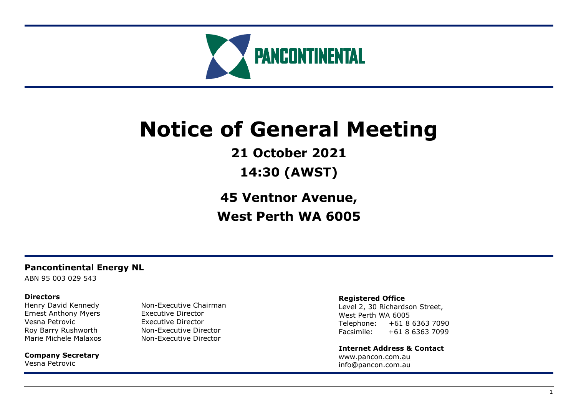

# **Notice of General Meeting**

**21 October 2021**

**14:30 (AWST)**

**45 Ventnor Avenue, West Perth WA 6005**

# **Pancontinental Energy NL**

ABN 95 003 029 543

# **Directors**

Ernest Anthony Myers Executive Director Vesna Petrovic **Executive Director** 

**Company Secretary** Vesna Petrovic

Henry David Kennedy Non-Executive Chairman Roy Barry Rushworth Non-Executive Director Marie Michele Malaxos Non-Executive Director

# **Registered Office**

Level 2, 30 Richardson Street, West Perth WA 6005 Telephone: +61 8 6363 7090 Facsimile: +61 8 6363 7099

**Internet Address & Contact** [www.pancon.com.au](http://www.pancon.com.au/) info@pancon.com.au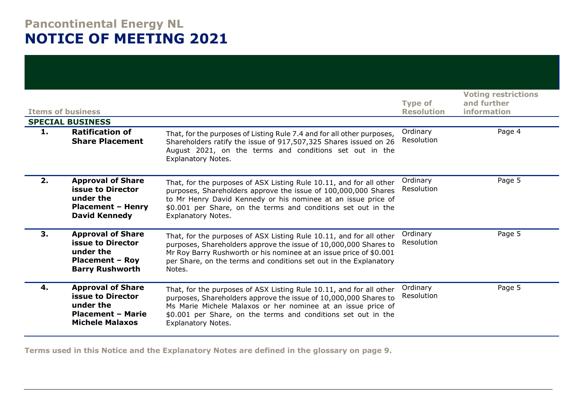# **Pancontinental Energy NL NOTICE OF MEETING 2021**

| <b>Items of business</b> | <b>Voting restrictions</b><br>and further<br>information                                                                |                                                                                                                                                                                                                                                                                                       |                        |        |
|--------------------------|-------------------------------------------------------------------------------------------------------------------------|-------------------------------------------------------------------------------------------------------------------------------------------------------------------------------------------------------------------------------------------------------------------------------------------------------|------------------------|--------|
|                          | <b>SPECIAL BUSINESS</b>                                                                                                 |                                                                                                                                                                                                                                                                                                       |                        |        |
| 1.                       | <b>Ratification of</b><br><b>Share Placement</b>                                                                        | That, for the purposes of Listing Rule 7.4 and for all other purposes,<br>Shareholders ratify the issue of 917,507,325 Shares issued on 26<br>August 2021, on the terms and conditions set out in the<br><b>Explanatory Notes.</b>                                                                    | Ordinary<br>Resolution | Page 4 |
| 2.                       | <b>Approval of Share</b><br><b>issue to Director</b><br>under the<br><b>Placement - Henry</b><br><b>David Kennedy</b>   | That, for the purposes of ASX Listing Rule 10.11, and for all other<br>purposes, Shareholders approve the issue of 100,000,000 Shares<br>to Mr Henry David Kennedy or his nominee at an issue price of<br>\$0.001 per Share, on the terms and conditions set out in the<br><b>Explanatory Notes.</b>  | Ordinary<br>Resolution | Page 5 |
| 3.                       | <b>Approval of Share</b><br><b>issue to Director</b><br>under the<br><b>Placement - Roy</b><br><b>Barry Rushworth</b>   | That, for the purposes of ASX Listing Rule 10.11, and for all other<br>purposes, Shareholders approve the issue of 10,000,000 Shares to<br>Mr Roy Barry Rushworth or his nominee at an issue price of \$0.001<br>per Share, on the terms and conditions set out in the Explanatory<br>Notes.          | Ordinary<br>Resolution | Page 5 |
| 4.                       | <b>Approval of Share</b><br><b>issue to Director</b><br>under the<br><b>Placement - Marie</b><br><b>Michele Malaxos</b> | That, for the purposes of ASX Listing Rule 10.11, and for all other<br>purposes, Shareholders approve the issue of 10,000,000 Shares to<br>Ms Marie Michele Malaxos or her nominee at an issue price of<br>\$0.001 per Share, on the terms and conditions set out in the<br><b>Explanatory Notes.</b> | Ordinary<br>Resolution | Page 5 |

**Terms used in this Notice and the Explanatory Notes are defined in the glossary on page 9.**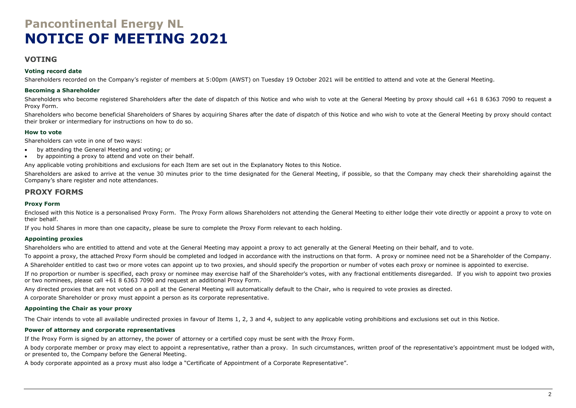# **Pancontinental Energy NL NOTICE OF MEETING 2021**

# **VOTING**

#### **Voting record date**

Shareholders recorded on the Company's register of members at 5:00pm (AWST) on Tuesday 19 October 2021 will be entitled to attend and vote at the General Meeting.

#### **Becoming a Shareholder**

Shareholders who become registered Shareholders after the date of dispatch of this Notice and who wish to vote at the General Meeting by proxy should call +61 8 6363 7090 to request a Proxy Form.

Shareholders who become beneficial Shareholders of Shares by acquiring Shares after the date of dispatch of this Notice and who wish to vote at the General Meeting by proxy should contact their broker or intermediary for instructions on how to do so.

#### **How to vote**

Shareholders can vote in one of two ways:

- by attending the General Meeting and voting; or
- by appointing a proxy to attend and vote on their behalf.

Any applicable voting prohibitions and exclusions for each Item are set out in the Explanatory Notes to this Notice.

Shareholders are asked to arrive at the venue 30 minutes prior to the time designated for the General Meeting, if possible, so that the Company may check their shareholding against the Company's share register and note attendances.

### **PROXY FORMS**

#### **Proxy Form**

Enclosed with this Notice is a personalised Proxy Form. The Proxy Form allows Shareholders not attending the General Meeting to either lodge their vote directly or appoint a proxy to vote on their behalf.

If you hold Shares in more than one capacity, please be sure to complete the Proxy Form relevant to each holding.

#### **Appointing proxies**

Shareholders who are entitled to attend and vote at the General Meeting may appoint a proxy to act generally at the General Meeting on their behalf, and to vote.

To appoint a proxy, the attached Proxy Form should be completed and lodged in accordance with the instructions on that form. A proxy or nominee need not be a Shareholder of the Company.

A Shareholder entitled to cast two or more votes can appoint up to two proxies, and should specify the proportion or number of votes each proxy or nominee is appointed to exercise.

If no proportion or number is specified, each proxy or nominee may exercise half of the Shareholder's votes, with any fractional entitlements disregarded. If you wish to appoint two proxies or two nominees, please call +61 8 6363 7090 and request an additional Proxy Form.

Any directed proxies that are not voted on a poll at the General Meeting will automatically default to the Chair, who is required to vote proxies as directed.

A corporate Shareholder or proxy must appoint a person as its corporate representative.

#### **Appointing the Chair as your proxy**

The Chair intends to vote all available undirected proxies in favour of Items 1, 2, 3 and 4, subject to any applicable voting prohibitions and exclusions set out in this Notice.

#### **Power of attorney and corporate representatives**

If the Proxy Form is signed by an attorney, the power of attorney or a certified copy must be sent with the Proxy Form.

A body corporate member or proxy may elect to appoint a representative, rather than a proxy. In such circumstances, written proof of the representative's appointment must be lodged with, or presented to, the Company before the General Meeting.

A body corporate appointed as a proxy must also lodge a "Certificate of Appointment of a Corporate Representative".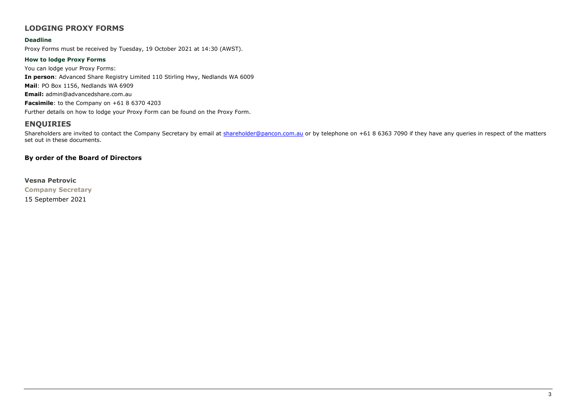# **LODGING PROXY FORMS**

#### **Deadline**

Proxy Forms must be received by Tuesday, 19 October 2021 at 14:30 (AWST).

#### **How to lodge Proxy Forms**

You can lodge your Proxy Forms: **In person**: Advanced Share Registry Limited 110 Stirling Hwy, Nedlands WA 6009 **Mail**: PO Box 1156, Nedlands WA 6909 **Email:** admin@advancedshare.com.au **Facsimile**: to the Company on +61 8 6370 4203 Further details on how to lodge your Proxy Form can be found on the Proxy Form.

# **ENQUIRIES**

Shareholders are invited to contact the Company Secretary by email at [shareholder@pancon.com.au](mailto:shareholder@pancon.com.au) or by telephone on +61 8 6363 7090 if they have any queries in respect of the matters set out in these documents.

### **By order of the Board of Directors**

#### **Vesna Petrovic**

**Company Secretary**

15 September 2021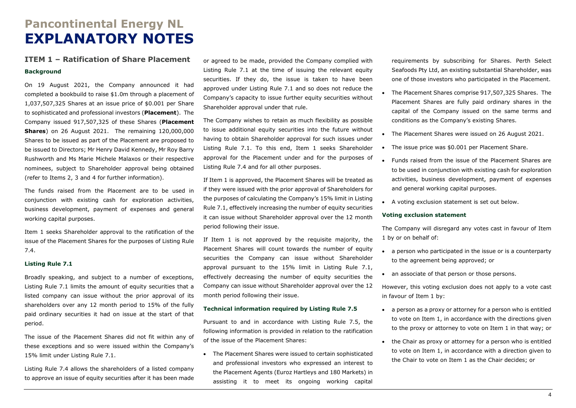# **Pancontinental Energy NL EXPLANATORY NOTES**

# **ITEM 1 – Ratification of Share Placement**

#### **Background**

On 19 August 2021, the Company announced it had completed a bookbuild to raise \$1.0m through a placement of 1,037,507,325 Shares at an issue price of \$0.001 per Share to sophisticated and professional investors (**Placement**). The Company issued 917,507,325 of these Shares (**Placement Shares**) on 26 August 2021. The remaining 120,000,000 Shares to be issued as part of the Placement are proposed to be issued to Directors; Mr Henry David Kennedy, Mr Roy Barry Rushworth and Ms Marie Michele Malaxos or their respective nominees, subject to Shareholder approval being obtained (refer to Items 2, 3 and 4 for further information).

The funds raised from the Placement are to be used in conjunction with existing cash for exploration activities, business development, payment of expenses and general working capital purposes.

Item 1 seeks Shareholder approval to the ratification of the issue of the Placement Shares for the purposes of Listing Rule 7.4.

#### **Listing Rule 7.1**

Broadly speaking, and subject to a number of exceptions, Listing Rule 7.1 limits the amount of equity securities that a listed company can issue without the prior approval of its shareholders over any 12 month period to 15% of the fully paid ordinary securities it had on issue at the start of that period.

The issue of the Placement Shares did not fit within any of these exceptions and so were issued within the Company's 15% limit under Listing Rule 7.1.

Listing Rule 7.4 allows the shareholders of a listed company to approve an issue of equity securities after it has been made

or agreed to be made, provided the Company complied with Listing Rule 7.1 at the time of issuing the relevant equity securities. If they do, the issue is taken to have been approved under Listing Rule 7.1 and so does not reduce the Company's capacity to issue further equity securities without Shareholder approval under that rule.

The Company wishes to retain as much flexibility as possible to issue additional equity securities into the future without having to obtain Shareholder approval for such issues under Listing Rule 7.1. To this end, Item 1 seeks Shareholder approval for the Placement under and for the purposes of Listing Rule 7.4 and for all other purposes.

If Item 1 is approved, the Placement Shares will be treated as if they were issued with the prior approval of Shareholders for the purposes of calculating the Company's 15% limit in Listing Rule 7.1, effectively increasing the number of equity securities it can issue without Shareholder approval over the 12 month period following their issue.

If Item 1 is not approved by the requisite majority, the Placement Shares will count towards the number of equity securities the Company can issue without Shareholder approval pursuant to the 15% limit in Listing Rule 7.1, effectively decreasing the number of equity securities the Company can issue without Shareholder approval over the 12 month period following their issue.

#### **Technical information required by Listing Rule 7.5**

Pursuant to and in accordance with Listing Rule 7.5, the following information is provided in relation to the ratification of the issue of the Placement Shares:

• The Placement Shares were issued to certain sophisticated and professional investors who expressed an interest to the Placement Agents (Euroz Hartleys and 180 Markets) in assisting it to meet its ongoing working capital

requirements by subscribing for Shares. Perth Select Seafoods Pty Ltd, an existing substantial Shareholder, was one of those investors who participated in the Placement.

- The Placement Shares comprise 917,507,325 Shares. The Placement Shares are fully paid ordinary shares in the capital of the Company issued on the same terms and conditions as the Company's existing Shares.
- The Placement Shares were issued on 26 August 2021.
- The issue price was \$0.001 per Placement Share.
- Funds raised from the issue of the Placement Shares are to be used in conjunction with existing cash for exploration activities, business development, payment of expenses and general working capital purposes.
- A voting exclusion statement is set out below.

#### **Voting exclusion statement**

The Company will disregard any votes cast in favour of Item 1 by or on behalf of:

- a person who participated in the issue or is a counterparty to the agreement being approved; or
- an associate of that person or those persons.

However, this voting exclusion does not apply to a vote cast in favour of Item 1 by:

- a person as a proxy or attorney for a person who is entitled to vote on Item 1, in accordance with the directions given to the proxy or attorney to vote on Item 1 in that way; or
- the Chair as proxy or attorney for a person who is entitled to vote on Item 1, in accordance with a direction given to the Chair to vote on Item 1 as the Chair decides; or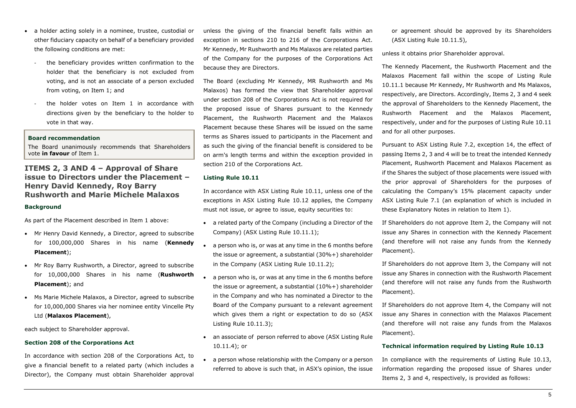- a holder acting solely in a nominee, trustee, custodial or other fiduciary capacity on behalf of a beneficiary provided the following conditions are met:
	- the beneficiary provides written confirmation to the holder that the beneficiary is not excluded from voting, and is not an associate of a person excluded from voting, on Item 1; and
	- the holder votes on Item 1 in accordance with directions given by the beneficiary to the holder to vote in that way.

#### **Board recommendation**

The Board unanimously recommends that Shareholders vote **in favour** of Item 1.

# **ITEMS 2, 3 AND 4 – Approval of Share issue to Directors under the Placement – Henry David Kennedy, Roy Barry Rushworth and Marie Michele Malaxos**

#### **Background**

As part of the Placement described in Item 1 above:

- Mr Henry David Kennedy, a Director, agreed to subscribe for 100,000,000 Shares in his name (**Kennedy Placement**);
- Mr Roy Barry Rushworth, a Director, agreed to subscribe for 10,000,000 Shares in his name (**Rushworth Placement**); and
- Ms Marie Michele Malaxos, a Director, agreed to subscribe for 10,000,000 Shares via her nominee entity Vincelle Pty Ltd (**Malaxos Placement**),

each subject to Shareholder approval.

#### **Section 208 of the Corporations Act**

In accordance with section 208 of the Corporations Act, to give a financial benefit to a related party (which includes a Director), the Company must obtain Shareholder approval unless the giving of the financial benefit falls within an exception in sections 210 to 216 of the Corporations Act. Mr Kennedy, Mr Rushworth and Ms Malaxos are related parties of the Company for the purposes of the Corporations Act because they are Directors.

The Board (excluding Mr Kennedy, MR Rushworth and Ms Malaxos) has formed the view that Shareholder approval under section 208 of the Corporations Act is not required for the proposed issue of Shares pursuant to the Kennedy Placement, the Rushworth Placement and the Malaxos Placement because these Shares will be issued on the same terms as Shares issued to participants in the Placement and as such the giving of the financial benefit is considered to be on arm's length terms and within the exception provided in section 210 of the Corporations Act.

#### **Listing Rule 10.11**

In accordance with ASX Listing Rule 10.11, unless one of the exceptions in ASX Listing Rule 10.12 applies, the Company must not issue, or agree to issue, equity securities to:

- a related party of the Company (including a Director of the Company) (ASX Listing Rule 10.11.1);
- a person who is, or was at any time in the 6 months before the issue or agreement, a substantial (30%+) shareholder in the Company (ASX Listing Rule 10.11.2);
- a person who is, or was at any time in the 6 months before the issue or agreement, a substantial (10%+) shareholder in the Company and who has nominated a Director to the Board of the Company pursuant to a relevant agreement which gives them a right or expectation to do so (ASX Listing Rule 10.11.3);
- an associate of person referred to above (ASX Listing Rule 10.11.4); or
- a person whose relationship with the Company or a person referred to above is such that, in ASX's opinion, the issue

or agreement should be approved by its Shareholders (ASX Listing Rule 10.11.5),

unless it obtains prior Shareholder approval.

The Kennedy Placement, the Rushworth Placement and the Malaxos Placement fall within the scope of Listing Rule 10.11.1 because Mr Kennedy, Mr Rushworth and Ms Malaxos, respectively, are Directors. Accordingly, Items 2, 3 and 4 seek the approval of Shareholders to the Kennedy Placement, the Rushworth Placement and the Malaxos Placement, respectively, under and for the purposes of Listing Rule 10.11 and for all other purposes.

Pursuant to ASX Listing Rule 7.2, exception 14, the effect of passing Items 2, 3 and 4 will be to treat the intended Kennedy Placement, Rushworth Placement and Malaxos Placement as if the Shares the subject of those placements were issued with the prior approval of Shareholders for the purposes of calculating the Company's 15% placement capacity under ASX Listing Rule 7.1 (an explanation of which is included in these Explanatory Notes in relation to Item 1).

If Shareholders do not approve Item 2, the Company will not issue any Shares in connection with the Kennedy Placement (and therefore will not raise any funds from the Kennedy Placement).

If Shareholders do not approve Item 3, the Company will not issue any Shares in connection with the Rushworth Placement (and therefore will not raise any funds from the Rushworth Placement).

If Shareholders do not approve Item 4, the Company will not issue any Shares in connection with the Malaxos Placement (and therefore will not raise any funds from the Malaxos Placement).

#### **Technical information required by Listing Rule 10.13**

In compliance with the requirements of Listing Rule 10.13, information regarding the proposed issue of Shares under Items 2, 3 and 4, respectively, is provided as follows: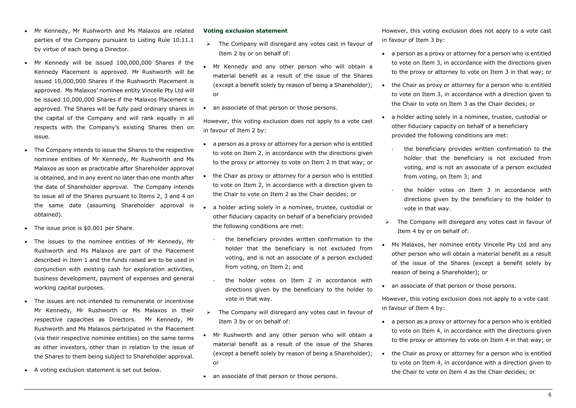- Mr Kennedy, Mr Rushworth and Ms Malaxos are related parties of the Company pursuant to Listing Rule 10.11.1 by virtue of each being a Director.
- Mr Kennedy will be issued 100,000,000 Shares if the Kennedy Placement is approved. Mr Rushworth will be issued 10,000,000 Shares if the Rushworth Placement is approved. Ms Malaxos' nominee entity Vincelle Pty Ltd will be issued 10,000,000 Shares if the Malaxos Placement is approved. The Shares will be fully paid ordinary shares in the capital of the Company and will rank equally in all respects with the Company's existing Shares then on issue.
- The Company intends to issue the Shares to the respective nominee entities of Mr Kennedy, Mr Rushworth and Ms Malaxos as soon as practicable after Shareholder approval is obtained, and in any event no later than one month after the date of Shareholder approval. The Company intends to issue all of the Shares pursuant to Items 2, 3 and 4 on the same date (assuming Shareholder approval is obtained).
- The issue price is \$0.001 per Share.
- The issues to the nominee entities of Mr Kennedy, Mr Rushworth and Ms Malaxos are part of the Placement described in Item 1 and the funds raised are to be used in conjunction with existing cash for exploration activities, business development, payment of expenses and general working capital purposes.
- The issues are not intended to remunerate or incentivise Mr Kennedy, Mr Rushworth or Ms Malaxos in their respective capacities as Directors. Mr Kennedy, Mr Rushworth and Ms Malaxos participated in the Placement (via their respective nominee entities) on the same terms as other investors, other than in relation to the issue of the Shares to them being subject to Shareholder approval.
- A voting exclusion statement is set out below.

#### **Voting exclusion statement**

- ➢ The Company will disregard any votes cast in favour of Item 2 by or on behalf of:
- Mr Kennedy and any other person who will obtain a material benefit as a result of the issue of the Shares (except a benefit solely by reason of being a Shareholder); or
- an associate of that person or those persons.

However, this voting exclusion does not apply to a vote cast in favour of Item 2 by:

- a person as a proxy or attorney for a person who is entitled to vote on Item 2, in accordance with the directions given to the proxy or attorney to vote on Item 2 in that way; or
- the Chair as proxy or attorney for a person who is entitled to vote on Item 2, in accordance with a direction given to the Chair to vote on Item 2 as the Chair decides; or
- a holder acting solely in a nominee, trustee, custodial or other fiduciary capacity on behalf of a beneficiary provided the following conditions are met:
	- the beneficiary provides written confirmation to the holder that the beneficiary is not excluded from voting, and is not an associate of a person excluded from voting, on Item 2; and
- the holder votes on Item 2 in accordance with directions given by the beneficiary to the holder to vote in that way.
- The Company will disregard any votes cast in favour of Item 3 by or on behalf of:
- Mr Rushworth and any other person who will obtain a material benefit as a result of the issue of the Shares (except a benefit solely by reason of being a Shareholder); or
- an associate of that person or those persons.

However, this voting exclusion does not apply to a vote cast in favour of Item 3 by:

- a person as a proxy or attorney for a person who is entitled to vote on Item 3, in accordance with the directions given to the proxy or attorney to vote on Item 3 in that way; or
- the Chair as proxy or attorney for a person who is entitled to vote on Item 3, in accordance with a direction given to the Chair to vote on Item 3 as the Chair decides; or
- a holder acting solely in a nominee, trustee, custodial or other fiduciary capacity on behalf of a beneficiary provided the following conditions are met:
	- the beneficiary provides written confirmation to the holder that the beneficiary is not excluded from voting, and is not an associate of a person excluded from voting, on Item 3; and
	- the holder votes on Item 3 in accordance with directions given by the beneficiary to the holder to vote in that way.
- ➢ The Company will disregard any votes cast in favour of Item 4 by or on behalf of:
- Ms Malaxos, her nominee entity Vincelle Pty Ltd and any other person who will obtain a material benefit as a result of the issue of the Shares (except a benefit solely by reason of being a Shareholder); or
- an associate of that person or those persons.

However, this voting exclusion does not apply to a vote cast in favour of Item 4 by:

- a person as a proxy or attorney for a person who is entitled to vote on Item 4, in accordance with the directions given to the proxy or attorney to vote on Item 4 in that way; or
- the Chair as proxy or attorney for a person who is entitled to vote on Item 4, in accordance with a direction given to the Chair to vote on Item 4 as the Chair decides; or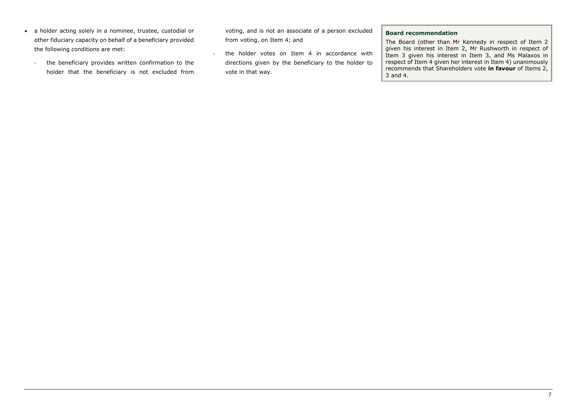- a holder acting solely in a nominee, trustee, custodial or other fiduciary capacity on behalf of a beneficiary provided the following conditions are met:
	- the beneficiary provides written confirmation to the holder that the beneficiary is not excluded from

voting, and is not an associate of a person excluded from voting, on Item 4; and

- the holder votes on Item 4 in accordance with directions given by the beneficiary to the holder to vote in that way.

#### **Board recommendation**

The Board (other than Mr Kennedy in respect of Item 2 given his interest in Item 2, Mr Rushworth in respect of Item 3 given his interest in Item 3, and Ms Malaxos in respect of Item 4 given her interest in Item 4) unanimously recommends that Shareholders vote **in favour** of Items 2, 3 and 4.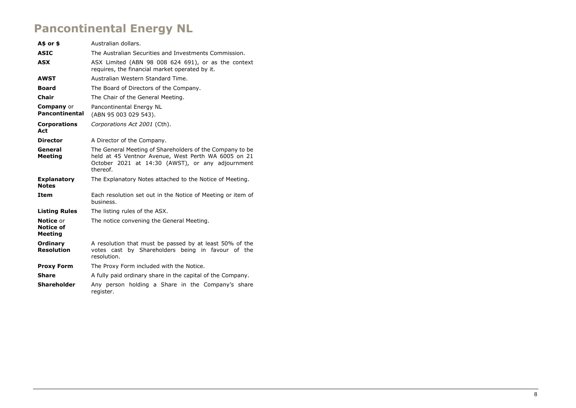# **Pancontinental Energy NL**

| A\$ or \$                                              | Australian dollars.                                                                                                                                                             |  |  |  |
|--------------------------------------------------------|---------------------------------------------------------------------------------------------------------------------------------------------------------------------------------|--|--|--|
| <b>ASIC</b>                                            | The Australian Securities and Investments Commission.                                                                                                                           |  |  |  |
| <b>ASX</b>                                             | ASX Limited (ABN 98 008 624 691), or as the context<br>requires, the financial market operated by it.                                                                           |  |  |  |
| <b>AWST</b>                                            | Australian Western Standard Time.                                                                                                                                               |  |  |  |
| <b>Board</b>                                           | The Board of Directors of the Company.                                                                                                                                          |  |  |  |
| Chair                                                  | The Chair of the General Meeting.                                                                                                                                               |  |  |  |
| <b>Company</b> or<br><b>Pancontinental</b>             | Pancontinental Energy NL<br>(ABN 95 003 029 543).                                                                                                                               |  |  |  |
| <b>Corporations</b><br>Act                             | Corporations Act 2001 (Cth).                                                                                                                                                    |  |  |  |
| <b>Director</b>                                        | A Director of the Company.                                                                                                                                                      |  |  |  |
| General<br><b>Meeting</b>                              | The General Meeting of Shareholders of the Company to be<br>held at 45 Ventnor Avenue, West Perth WA 6005 on 21<br>October 2021 at 14:30 (AWST), or any adjournment<br>thereof. |  |  |  |
| <b>Explanatory</b><br><b>Notes</b>                     | The Explanatory Notes attached to the Notice of Meeting.                                                                                                                        |  |  |  |
| Item                                                   | Each resolution set out in the Notice of Meeting or item of<br>business.                                                                                                        |  |  |  |
| <b>Listing Rules</b>                                   | The listing rules of the ASX.                                                                                                                                                   |  |  |  |
| <b>Notice or</b><br><b>Notice of</b><br><b>Meeting</b> | The notice convening the General Meeting.                                                                                                                                       |  |  |  |
| Ordinary<br><b>Resolution</b>                          | A resolution that must be passed by at least 50% of the<br>votes cast by Shareholders being in favour of the<br>resolution.                                                     |  |  |  |
| <b>Proxy Form</b>                                      | The Proxy Form included with the Notice.                                                                                                                                        |  |  |  |
| Share                                                  | A fully paid ordinary share in the capital of the Company.                                                                                                                      |  |  |  |
| <b>Shareholder</b>                                     | Any person holding a Share in the Company's share<br>register.                                                                                                                  |  |  |  |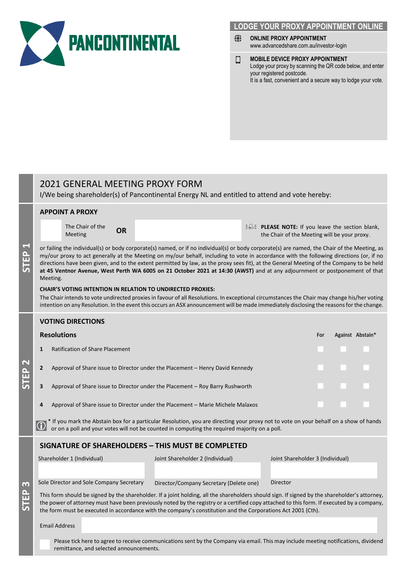

# **LODGE YOUR PROXY APPOINTMENT ONLINE**

- ⇔ **ONLINE PROXY APPOINTMENT** www.advancedshare.com.au/investor-login
- **MOBILE DEVICE PROXY APPOINTMENT** О Lodge your proxy by scanning the QR code below, and enter your registered postcode. It is a fast, convenient and a secure way to lodge your vote.

# 2021 GENERAL MEETING PROXY FORM

**STEP 1**

**STEP 2**

**STEP 3**

**APPOINT A PROXY**

I/We being shareholder(s) of Pancontinental Energy NL and entitled to attend and vote hereby:

|   |                                                                                                                                                                                                                                                                                                                                                                                                             | The Chair of the<br>Meeting                                                                                                                                                                                                                                                                                                                                                                                                                                                                                                                                                                                                                                                                                                                                                                                                                                                                                                                     | <b>OR</b> |                                                                                                                                     |  | $\frac{1}{2}$ PLEASE NOTE: If you leave the section blank,<br>the Chair of the Meeting will be your proxy. |     |  |                  |  |
|---|-------------------------------------------------------------------------------------------------------------------------------------------------------------------------------------------------------------------------------------------------------------------------------------------------------------------------------------------------------------------------------------------------------------|-------------------------------------------------------------------------------------------------------------------------------------------------------------------------------------------------------------------------------------------------------------------------------------------------------------------------------------------------------------------------------------------------------------------------------------------------------------------------------------------------------------------------------------------------------------------------------------------------------------------------------------------------------------------------------------------------------------------------------------------------------------------------------------------------------------------------------------------------------------------------------------------------------------------------------------------------|-----------|-------------------------------------------------------------------------------------------------------------------------------------|--|------------------------------------------------------------------------------------------------------------|-----|--|------------------|--|
|   |                                                                                                                                                                                                                                                                                                                                                                                                             | or failing the individual(s) or body corporate(s) named, or if no individual(s) or body corporate(s) are named, the Chair of the Meeting, as<br>my/our proxy to act generally at the Meeting on my/our behalf, including to vote in accordance with the following directions (or, if no<br>directions have been given, and to the extent permitted by law, as the proxy sees fit), at the General Meeting of the Company to be held<br>at 45 Ventnor Avenue, West Perth WA 6005 on 21 October 2021 at 14:30 (AWST) and at any adjournment or postponement of that<br>Meeting.<br><b>CHAIR'S VOTING INTENTION IN RELATION TO UNDIRECTED PROXIES:</b><br>The Chair intends to vote undirected proxies in favour of all Resolutions. In exceptional circumstances the Chair may change his/her voting<br>intention on any Resolution. In the event this occurs an ASX announcement will be made immediately disclosing the reasons for the change. |           |                                                                                                                                     |  |                                                                                                            |     |  |                  |  |
|   |                                                                                                                                                                                                                                                                                                                                                                                                             | <b>VOTING DIRECTIONS</b>                                                                                                                                                                                                                                                                                                                                                                                                                                                                                                                                                                                                                                                                                                                                                                                                                                                                                                                        |           |                                                                                                                                     |  |                                                                                                            |     |  |                  |  |
|   | <b>Resolutions</b>                                                                                                                                                                                                                                                                                                                                                                                          |                                                                                                                                                                                                                                                                                                                                                                                                                                                                                                                                                                                                                                                                                                                                                                                                                                                                                                                                                 |           |                                                                                                                                     |  |                                                                                                            | For |  | Against Abstain* |  |
|   | <b>Ratification of Share Placement</b><br>1                                                                                                                                                                                                                                                                                                                                                                 |                                                                                                                                                                                                                                                                                                                                                                                                                                                                                                                                                                                                                                                                                                                                                                                                                                                                                                                                                 |           |                                                                                                                                     |  |                                                                                                            |     |  |                  |  |
|   | Approval of Share issue to Director under the Placement - Henry David Kennedy<br>$\mathbf{2}$                                                                                                                                                                                                                                                                                                               |                                                                                                                                                                                                                                                                                                                                                                                                                                                                                                                                                                                                                                                                                                                                                                                                                                                                                                                                                 |           |                                                                                                                                     |  |                                                                                                            |     |  |                  |  |
|   | Approval of Share issue to Director under the Placement - Roy Barry Rushworth<br>3                                                                                                                                                                                                                                                                                                                          |                                                                                                                                                                                                                                                                                                                                                                                                                                                                                                                                                                                                                                                                                                                                                                                                                                                                                                                                                 |           |                                                                                                                                     |  |                                                                                                            |     |  |                  |  |
|   | Approval of Share issue to Director under the Placement - Marie Michele Malaxos<br>4                                                                                                                                                                                                                                                                                                                        |                                                                                                                                                                                                                                                                                                                                                                                                                                                                                                                                                                                                                                                                                                                                                                                                                                                                                                                                                 |           |                                                                                                                                     |  |                                                                                                            |     |  |                  |  |
|   | * If you mark the Abstain box for a particular Resolution, you are directing your proxy not to vote on your behalf on a show of hands<br>or on a poll and your votes will not be counted in computing the required majority on a poll.                                                                                                                                                                      |                                                                                                                                                                                                                                                                                                                                                                                                                                                                                                                                                                                                                                                                                                                                                                                                                                                                                                                                                 |           |                                                                                                                                     |  |                                                                                                            |     |  |                  |  |
|   |                                                                                                                                                                                                                                                                                                                                                                                                             |                                                                                                                                                                                                                                                                                                                                                                                                                                                                                                                                                                                                                                                                                                                                                                                                                                                                                                                                                 |           | <b>SIGNATURE OF SHAREHOLDERS - THIS MUST BE COMPLETED</b>                                                                           |  |                                                                                                            |     |  |                  |  |
| n |                                                                                                                                                                                                                                                                                                                                                                                                             | Shareholder 1 (Individual)                                                                                                                                                                                                                                                                                                                                                                                                                                                                                                                                                                                                                                                                                                                                                                                                                                                                                                                      |           | Joint Shareholder 2 (Individual)                                                                                                    |  | Joint Shareholder 3 (Individual)                                                                           |     |  |                  |  |
|   |                                                                                                                                                                                                                                                                                                                                                                                                             | Sole Director and Sole Company Secretary                                                                                                                                                                                                                                                                                                                                                                                                                                                                                                                                                                                                                                                                                                                                                                                                                                                                                                        |           | Director/Company Secretary (Delete one)                                                                                             |  | Director                                                                                                   |     |  |                  |  |
|   | This form should be signed by the shareholder. If a joint holding, all the shareholders should sign. If signed by the shareholder's attorney,<br>the power of attorney must have been previously noted by the registry or a certified copy attached to this form. If executed by a company,<br>the form must be executed in accordance with the company's constitution and the Corporations Act 2001 (Cth). |                                                                                                                                                                                                                                                                                                                                                                                                                                                                                                                                                                                                                                                                                                                                                                                                                                                                                                                                                 |           |                                                                                                                                     |  |                                                                                                            |     |  |                  |  |
|   | <b>Email Address</b>                                                                                                                                                                                                                                                                                                                                                                                        |                                                                                                                                                                                                                                                                                                                                                                                                                                                                                                                                                                                                                                                                                                                                                                                                                                                                                                                                                 |           |                                                                                                                                     |  |                                                                                                            |     |  |                  |  |
|   |                                                                                                                                                                                                                                                                                                                                                                                                             | remittance, and selected announcements.                                                                                                                                                                                                                                                                                                                                                                                                                                                                                                                                                                                                                                                                                                                                                                                                                                                                                                         |           | Please tick here to agree to receive communications sent by the Company via email. This may include meeting notifications, dividend |  |                                                                                                            |     |  |                  |  |